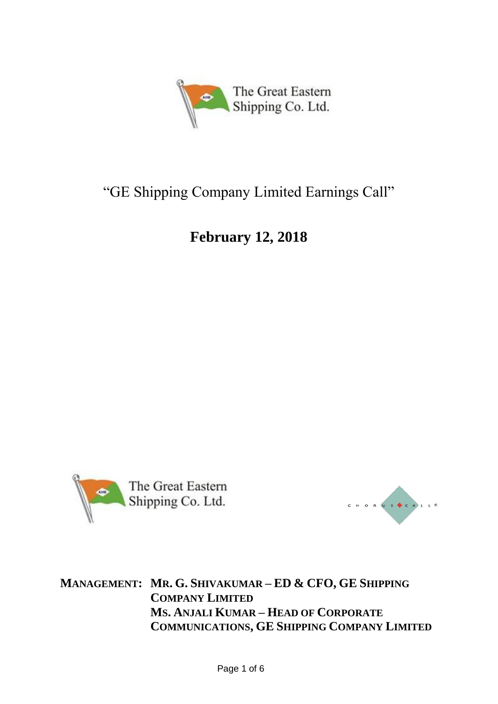

# "GE Shipping Company Limited Earnings Call"

# **February 12, 2018**





**MANAGEMENT: MR. G. SHIVAKUMAR – ED & CFO, GE SHIPPING COMPANY LIMITED MS. ANJALI KUMAR – HEAD OF CORPORATE COMMUNICATIONS, GE SHIPPING COMPANY LIMITED**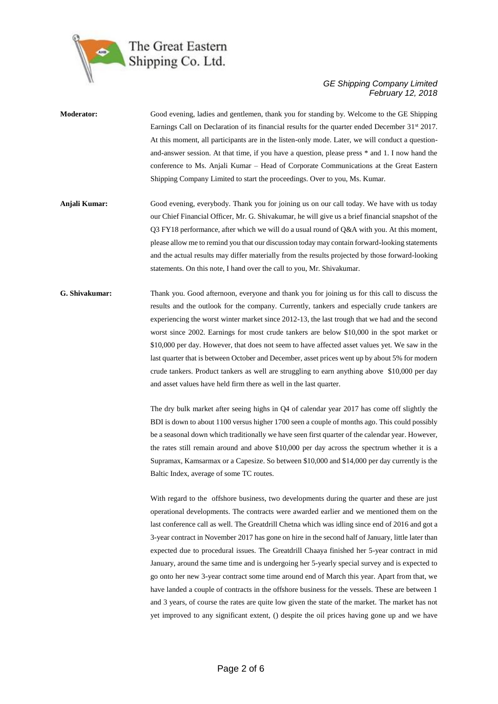

- **Moderator:** Good evening, ladies and gentlemen, thank you for standing by. Welcome to the GE Shipping Earnings Call on Declaration of its financial results for the quarter ended December 31<sup>st</sup> 2017. At this moment, all participants are in the listen-only mode. Later, we will conduct a questionand-answer session. At that time, if you have a question, please press \* and 1. I now hand the conference to Ms. Anjali Kumar – Head of Corporate Communications at the Great Eastern Shipping Company Limited to start the proceedings. Over to you, Ms. Kumar.
- **Anjali Kumar:** Good evening, everybody. Thank you for joining us on our call today. We have with us today our Chief Financial Officer, Mr. G. Shivakumar, he will give us a brief financial snapshot of the Q3 FY18 performance, after which we will do a usual round of Q&A with you. At this moment, please allow me to remind you that our discussion today may contain forward-looking statements and the actual results may differ materially from the results projected by those forward-looking statements. On this note, I hand over the call to you, Mr. Shivakumar.
- **G. Shivakumar:** Thank you. Good afternoon, everyone and thank you for joining us for this call to discuss the results and the outlook for the company. Currently, tankers and especially crude tankers are experiencing the worst winter market since 2012-13, the last trough that we had and the second worst since 2002. Earnings for most crude tankers are below \$10,000 in the spot market or \$10,000 per day. However, that does not seem to have affected asset values yet. We saw in the last quarter that is between October and December, asset prices went up by about 5% for modern crude tankers. Product tankers as well are struggling to earn anything above \$10,000 per day and asset values have held firm there as well in the last quarter.

The dry bulk market after seeing highs in Q4 of calendar year 2017 has come off slightly the BDI is down to about 1100 versus higher 1700 seen a couple of months ago. This could possibly be a seasonal down which traditionally we have seen first quarter of the calendar year. However, the rates still remain around and above \$10,000 per day across the spectrum whether it is a Supramax, Kamsarmax or a Capesize. So between \$10,000 and \$14,000 per day currently is the Baltic Index, average of some TC routes.

With regard to the offshore business, two developments during the quarter and these are just operational developments. The contracts were awarded earlier and we mentioned them on the last conference call as well. The Greatdrill Chetna which was idling since end of 2016 and got a 3-year contract in November 2017 has gone on hire in the second half of January, little later than expected due to procedural issues. The Greatdrill Chaaya finished her 5-year contract in mid January, around the same time and is undergoing her 5-yearly special survey and is expected to go onto her new 3-year contract some time around end of March this year. Apart from that, we have landed a couple of contracts in the offshore business for the vessels. These are between 1 and 3 years, of course the rates are quite low given the state of the market. The market has not yet improved to any significant extent, () despite the oil prices having gone up and we have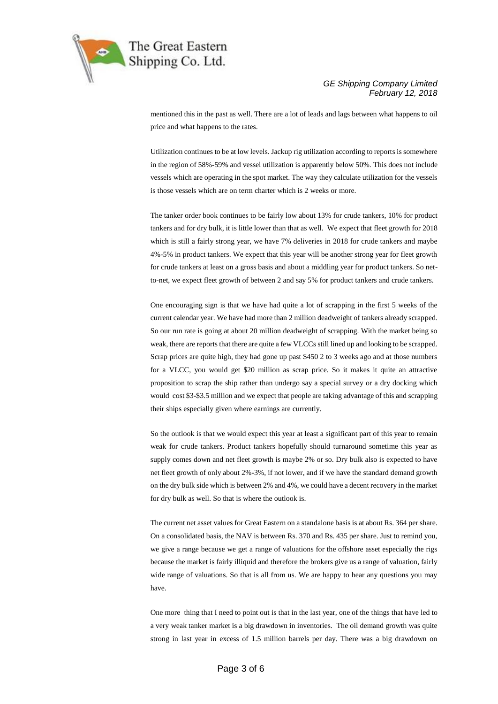

mentioned this in the past as well. There are a lot of leads and lags between what happens to oil price and what happens to the rates.

Utilization continues to be at low levels. Jackup rig utilization according to reports is somewhere in the region of 58%-59% and vessel utilization is apparently below 50%. This does not include vessels which are operating in the spot market. The way they calculate utilization for the vessels is those vessels which are on term charter which is 2 weeks or more.

The tanker order book continues to be fairly low about 13% for crude tankers, 10% for product tankers and for dry bulk, it is little lower than that as well. We expect that fleet growth for 2018 which is still a fairly strong year, we have 7% deliveries in 2018 for crude tankers and maybe 4%-5% in product tankers. We expect that this year will be another strong year for fleet growth for crude tankers at least on a gross basis and about a middling year for product tankers. So netto-net, we expect fleet growth of between 2 and say 5% for product tankers and crude tankers.

One encouraging sign is that we have had quite a lot of scrapping in the first 5 weeks of the current calendar year. We have had more than 2 million deadweight of tankers already scrapped. So our run rate is going at about 20 million deadweight of scrapping. With the market being so weak, there are reports that there are quite a few VLCCs still lined up and looking to be scrapped. Scrap prices are quite high, they had gone up past \$450 2 to 3 weeks ago and at those numbers for a VLCC, you would get \$20 million as scrap price. So it makes it quite an attractive proposition to scrap the ship rather than undergo say a special survey or a dry docking which would cost \$3-\$3.5 million and we expect that people are taking advantage of this and scrapping their ships especially given where earnings are currently.

So the outlook is that we would expect this year at least a significant part of this year to remain weak for crude tankers. Product tankers hopefully should turnaround sometime this year as supply comes down and net fleet growth is maybe 2% or so. Dry bulk also is expected to have net fleet growth of only about 2%-3%, if not lower, and if we have the standard demand growth on the dry bulk side which is between 2% and 4%, we could have a decent recovery in the market for dry bulk as well. So that is where the outlook is.

The current net asset values for Great Eastern on a standalone basis is at about Rs. 364 per share. On a consolidated basis, the NAV is between Rs. 370 and Rs. 435 per share. Just to remind you, we give a range because we get a range of valuations for the offshore asset especially the rigs because the market is fairly illiquid and therefore the brokers give us a range of valuation, fairly wide range of valuations. So that is all from us. We are happy to hear any questions you may have.

One more thing that I need to point out is that in the last year, one of the things that have led to a very weak tanker market is a big drawdown in inventories. The oil demand growth was quite strong in last year in excess of 1.5 million barrels per day. There was a big drawdown on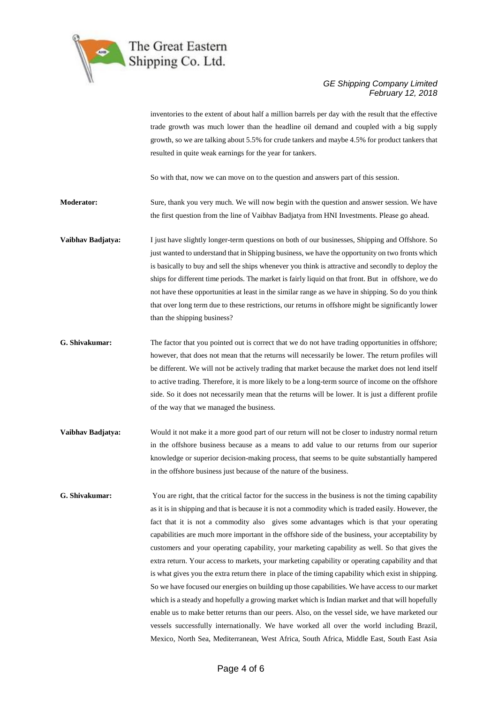

inventories to the extent of about half a million barrels per day with the result that the effective trade growth was much lower than the headline oil demand and coupled with a big supply growth, so we are talking about 5.5% for crude tankers and maybe 4.5% for product tankers that resulted in quite weak earnings for the year for tankers.

So with that, now we can move on to the question and answers part of this session.

**Moderator:** Sure, thank you very much. We will now begin with the question and answer session. We have the first question from the line of Vaibhav Badjatya from HNI Investments. Please go ahead.

- **Vaibhav Badjatya:** I just have slightly longer-term questions on both of our businesses, Shipping and Offshore. So just wanted to understand that in Shipping business, we have the opportunity on two fronts which is basically to buy and sell the ships whenever you think is attractive and secondly to deploy the ships for different time periods. The market is fairly liquid on that front. But in offshore, we do not have these opportunities at least in the similar range as we have in shipping. So do you think that over long term due to these restrictions, our returns in offshore might be significantly lower than the shipping business?
- **G. Shivakumar:** The factor that you pointed out is correct that we do not have trading opportunities in offshore; however, that does not mean that the returns will necessarily be lower. The return profiles will be different. We will not be actively trading that market because the market does not lend itself to active trading. Therefore, it is more likely to be a long-term source of income on the offshore side. So it does not necessarily mean that the returns will be lower. It is just a different profile of the way that we managed the business.
- **Vaibhav Badjatya:** Would it not make it a more good part of our return will not be closer to industry normal return in the offshore business because as a means to add value to our returns from our superior knowledge or superior decision-making process, that seems to be quite substantially hampered in the offshore business just because of the nature of the business.
- **G. Shivakumar:** You are right, that the critical factor for the success in the business is not the timing capability as it is in shipping and that is because it is not a commodity which is traded easily. However, the fact that it is not a commodity also gives some advantages which is that your operating capabilities are much more important in the offshore side of the business, your acceptability by customers and your operating capability, your marketing capability as well. So that gives the extra return. Your access to markets, your marketing capability or operating capability and that is what gives you the extra return there in place of the timing capability which exist in shipping. So we have focused our energies on building up those capabilities. We have access to our market which is a steady and hopefully a growing market which is Indian market and that will hopefully enable us to make better returns than our peers. Also, on the vessel side, we have marketed our vessels successfully internationally. We have worked all over the world including Brazil, Mexico, North Sea, Mediterranean, West Africa, South Africa, Middle East, South East Asia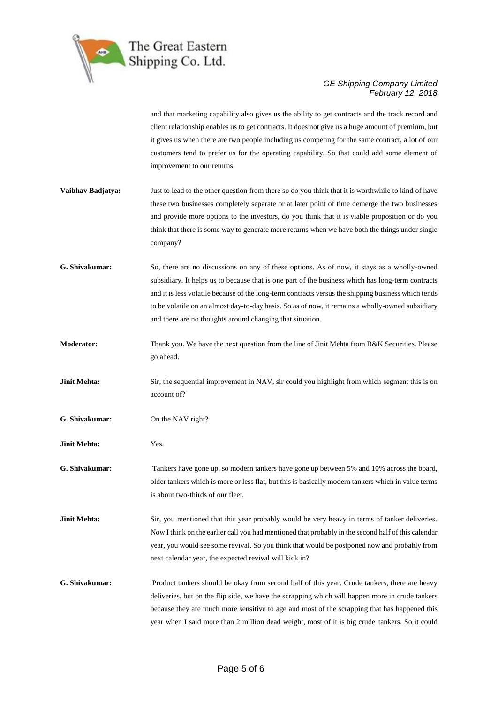

and that marketing capability also gives us the ability to get contracts and the track record and client relationship enables us to get contracts. It does not give us a huge amount of premium, but it gives us when there are two people including us competing for the same contract, a lot of our customers tend to prefer us for the operating capability. So that could add some element of improvement to our returns.

- **Vaibhav Badjatya:** Just to lead to the other question from there so do you think that it is worthwhile to kind of have these two businesses completely separate or at later point of time demerge the two businesses and provide more options to the investors, do you think that it is viable proposition or do you think that there is some way to generate more returns when we have both the things under single company?
- **G. Shivakumar:** So, there are no discussions on any of these options. As of now, it stays as a wholly-owned subsidiary. It helps us to because that is one part of the business which has long-term contracts and it is less volatile because of the long-term contracts versus the shipping business which tends to be volatile on an almost day-to-day basis. So as of now, it remains a wholly-owned subsidiary and there are no thoughts around changing that situation.
- **Moderator:** Thank you. We have the next question from the line of Jinit Mehta from B&K Securities. Please go ahead.
- **Jinit Mehta:** Sir, the sequential improvement in NAV, sir could you highlight from which segment this is on account of?
- **G. Shivakumar:** On the NAV right?
- **Jinit Mehta:** Yes.
- **G. Shivakumar:** Tankers have gone up, so modern tankers have gone up between 5% and 10% across the board, older tankers which is more or less flat, but this is basically modern tankers which in value terms is about two-thirds of our fleet.
- **Jinit Mehta:** Sir, you mentioned that this year probably would be very heavy in terms of tanker deliveries. Now I think on the earlier call you had mentioned that probably in the second half of this calendar year, you would see some revival. So you think that would be postponed now and probably from next calendar year, the expected revival will kick in?
- **G. Shivakumar:** Product tankers should be okay from second half of this year. Crude tankers, there are heavy deliveries, but on the flip side, we have the scrapping which will happen more in crude tankers because they are much more sensitive to age and most of the scrapping that has happened this year when I said more than 2 million dead weight, most of it is big crude tankers. So it could